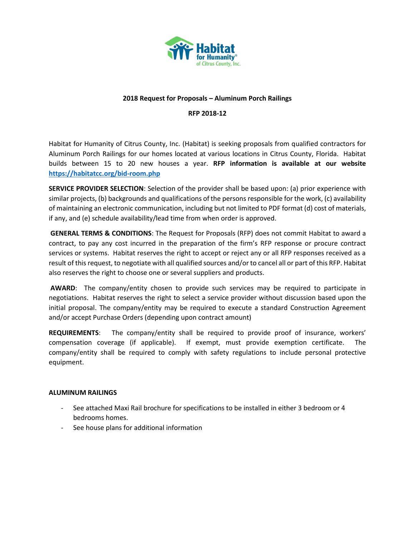

#### **2018 Request for Proposals – Aluminum Porch Railings**

#### **RFP 2018-12**

Habitat for Humanity of Citrus County, Inc. (Habitat) is seeking proposals from qualified contractors for Aluminum Porch Railings for our homes located at various locations in Citrus County, Florida. Habitat builds between 15 to 20 new houses a year. **RFP information is available at our website <https://habitatcc.org/bid-room.php>**

**SERVICE PROVIDER SELECTION**: Selection of the provider shall be based upon: (a) prior experience with similar projects, (b) backgrounds and qualifications of the persons responsible for the work, (c) availability of maintaining an electronic communication, including but not limited to PDF format (d) cost of materials, if any, and (e) schedule availability/lead time from when order is approved.

**GENERAL TERMS & CONDITIONS**: The Request for Proposals (RFP) does not commit Habitat to award a contract, to pay any cost incurred in the preparation of the firm's RFP response or procure contract services or systems. Habitat reserves the right to accept or reject any or all RFP responses received as a result of this request, to negotiate with all qualified sources and/or to cancel all or part of this RFP. Habitat also reserves the right to choose one or several suppliers and products.

**AWARD**: The company/entity chosen to provide such services may be required to participate in negotiations. Habitat reserves the right to select a service provider without discussion based upon the initial proposal. The company/entity may be required to execute a standard Construction Agreement and/or accept Purchase Orders (depending upon contract amount)

**REQUIREMENTS**: The company/entity shall be required to provide proof of insurance, workers' compensation coverage (if applicable). If exempt, must provide exemption certificate. The company/entity shall be required to comply with safety regulations to include personal protective equipment.

#### **ALUMINUM RAILINGS**

- See attached Maxi Rail brochure for specifications to be installed in either 3 bedroom or 4 bedrooms homes.
- See house plans for additional information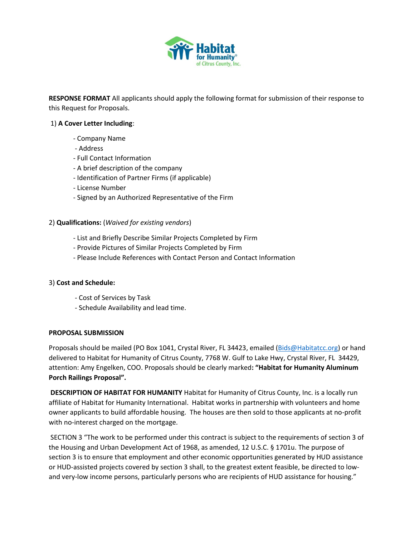

**RESPONSE FORMAT** All applicants should apply the following format for submission of their response to this Request for Proposals.

## 1) **A Cover Letter Including**:

- Company Name
- Address
- Full Contact Information
- A brief description of the company
- Identification of Partner Firms (if applicable)
- License Number
- Signed by an Authorized Representative of the Firm

### 2) **Qualifications:** (*Waived for existing vendors*)

- List and Briefly Describe Similar Projects Completed by Firm
- Provide Pictures of Similar Projects Completed by Firm
- Please Include References with Contact Person and Contact Information

### 3) **Cost and Schedule:**

- Cost of Services by Task
- Schedule Availability and lead time.

### **PROPOSAL SUBMISSION**

Proposals should be mailed (PO Box 1041, Crystal River, FL 34423, emailed [\(Bids@Habitatcc.org\)](mailto:Bids@Habitatcc.org) or hand delivered to Habitat for Humanity of Citrus County, 7768 W. Gulf to Lake Hwy, Crystal River, FL 34429, attention: Amy Engelken, COO. Proposals should be clearly marked**: "Habitat for Humanity Aluminum Porch Railings Proposal".** 

**DESCRIPTION OF HABITAT FOR HUMANITY** Habitat for Humanity of Citrus County, Inc. is a locally run affiliate of Habitat for Humanity International. Habitat works in partnership with volunteers and home owner applicants to build affordable housing. The houses are then sold to those applicants at no-profit with no-interest charged on the mortgage.

SECTION 3 "The work to be performed under this contract is subject to the requirements of section 3 of the Housing and Urban Development Act of 1968, as amended, 12 U.S.C. § 1701u. The purpose of section 3 is to ensure that employment and other economic opportunities generated by HUD assistance or HUD-assisted projects covered by section 3 shall, to the greatest extent feasible, be directed to lowand very-low income persons, particularly persons who are recipients of HUD assistance for housing."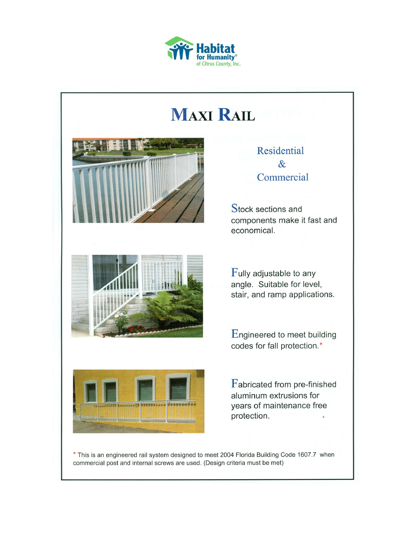

# **MAXI RAIL**





Residential  $\&$ Commercial

Stock sections and components make it fast and economical.

 $F$ ully adjustable to any angle. Suitable for level, stair, and ramp applications.

Engineered to meet building codes for fall protection.\*



Fabricated from pre-finished aluminum extrusions for years of maintenance free protection.

\* This is an engineered rail system designed to meet 2004 Florida Building Code 1607.7 when commercial post and internal screws are used. (Design criteria must be met)